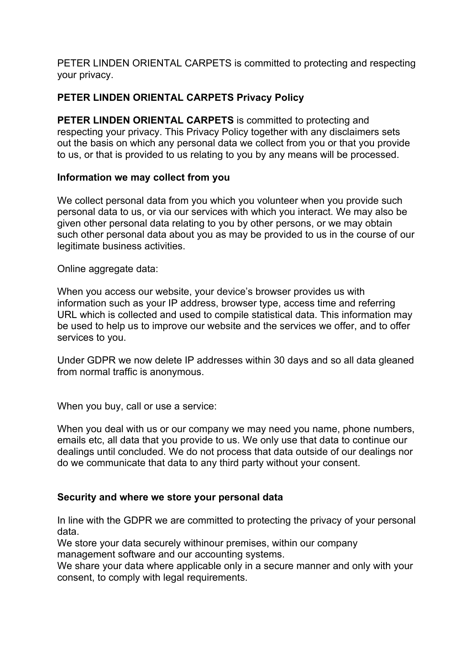PETER LINDEN ORIENTAL CARPETS is committed to protecting and respecting your privacy.

## **PETER LINDEN ORIENTAL CARPETS Privacy Policy**

**PETER LINDEN ORIENTAL CARPETS** is committed to protecting and respecting your privacy. This Privacy Policy together with any disclaimers sets out the basis on which any personal data we collect from you or that you provide to us, or that is provided to us relating to you by any means will be processed.

#### **Information we may collect from you**

We collect personal data from you which you volunteer when you provide such personal data to us, or via our services with which you interact. We may also be given other personal data relating to you by other persons, or we may obtain such other personal data about you as may be provided to us in the course of our legitimate business activities.

Online aggregate data:

When you access our website, your device's browser provides us with information such as your IP address, browser type, access time and referring URL which is collected and used to compile statistical data. This information may be used to help us to improve our website and the services we offer, and to offer services to you.

Under GDPR we now delete IP addresses within 30 days and so all data gleaned from normal traffic is anonymous.

When you buy, call or use a service:

When you deal with us or our company we may need you name, phone numbers, emails etc, all data that you provide to us. We only use that data to continue our dealings until concluded. We do not process that data outside of our dealings nor do we communicate that data to any third party without your consent.

#### **Security and where we store your personal data**

In line with the GDPR we are committed to protecting the privacy of your personal data.

We store your data securely withinour premises, within our company management software and our accounting systems.

We share your data where applicable only in a secure manner and only with your consent, to comply with legal requirements.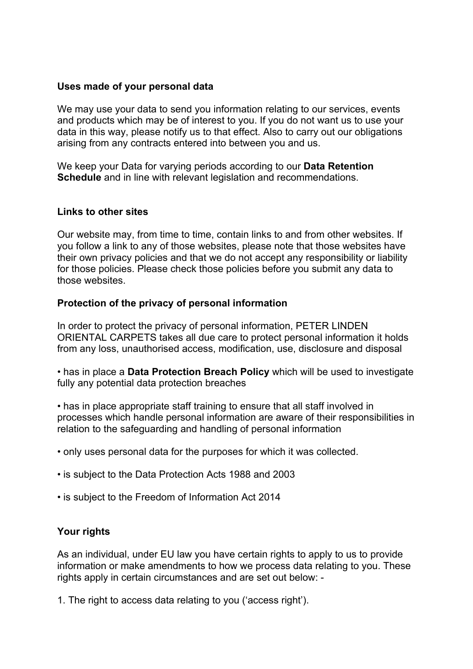### **Uses made of your personal data**

We may use your data to send you information relating to our services, events and products which may be of interest to you. If you do not want us to use your data in this way, please notify us to that effect. Also to carry out our obligations arising from any contracts entered into between you and us.

We keep your Data for varying periods according to our **Data Retention Schedule** and in line with relevant legislation and recommendations.

#### **Links to other sites**

Our website may, from time to time, contain links to and from other websites. If you follow a link to any of those websites, please note that those websites have their own privacy policies and that we do not accept any responsibility or liability for those policies. Please check those policies before you submit any data to those websites.

#### **Protection of the privacy of personal information**

In order to protect the privacy of personal information, PETER LINDEN ORIENTAL CARPETS takes all due care to protect personal information it holds from any loss, unauthorised access, modification, use, disclosure and disposal

• has in place a **Data Protection Breach Policy** which will be used to investigate fully any potential data protection breaches

• has in place appropriate staff training to ensure that all staff involved in processes which handle personal information are aware of their responsibilities in relation to the safeguarding and handling of personal information

• only uses personal data for the purposes for which it was collected.

• is subject to the Data Protection Acts 1988 and 2003

• is subject to the Freedom of Information Act 2014

## **Your rights**

As an individual, under EU law you have certain rights to apply to us to provide information or make amendments to how we process data relating to you. These rights apply in certain circumstances and are set out below: -

1. The right to access data relating to you ('access right').